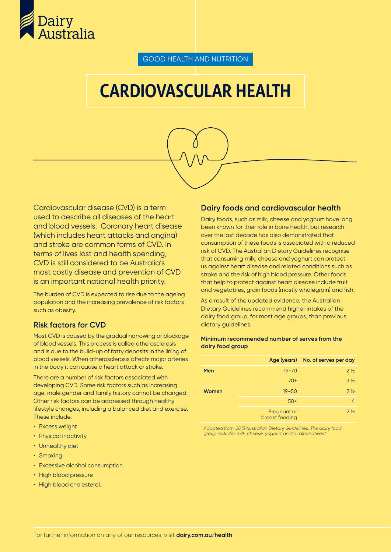

GOOD HEALTH AND NUTRITION

# CARDIOVASCULAR HEALTH



Cardiovascular disease (CVD) is a term used to describe all diseases of the heart and blood vessels. Coronary heart disease (which includes heart attacks and angina) and stroke are common forms of CVD. In terms of lives lost and health spending, CVD is still considered to be Australia's most costly disease and prevention of CVD is an important national health priority.

The burden of CVD is expected to rise due to the ageing population and the increasing prevalence of risk factors such as obesity.

## **Risk factors for CVD**

Most CVD is caused by the gradual narrowing or blockage of blood vessels. This process is called atherosclerosis and is due to the build-up of fatty deposits in the lining of blood vessels. When atherosclerosis affects major arteries in the body it can cause a heart attack or stroke.

There are a number of risk factors associated with developing CVD. Some risk factors such as increasing age, male gender and family history cannot be changed. Other risk factors can be addressed through healthy lifestyle changes, including a balanced diet and exercise. These include:

- Excess weight
- Physical inactivity
- Unhealthy diet
- Smoking
- Excessive alcohol consumption
- High blood pressure
- High blood cholesterol.

#### **Dairy foods and cardiovascular health**

Dairy foods, such as milk, cheese and yoghurt have long been known for their role in bone health, but research over the last decade has also demonstrated that consumption of these foods is associated with a reduced risk of CVD. The Australian Dietary Guidelines recognise that consuming milk, cheese and yoghurt can protect us against heart disease and related conditions such as stroke and the risk of high blood pressure. Other foods that help to protect against heart disease include fruit and vegetables, grain foods (mostly wholegrain) and fish.

As a result of the updated evidence, the Australian Dietary Guidelines recommend higher intakes of the dairy food group, for most age groups, than previous dietary guidelines.

#### **Minimum recommended number of serves from the dairy food group**

|       |                               | Age (years) No. of serves per day |
|-------|-------------------------------|-----------------------------------|
| Men   | $19 - 70$                     | $2\frac{1}{2}$                    |
|       | $70+$                         | $3\frac{1}{2}$                    |
| Women | $19 - 50$                     | $2\frac{1}{2}$                    |
|       | $50+$                         | $\mathcal{L}_{1}$                 |
|       | Pregnant or<br>breast feeding | $2\frac{1}{2}$                    |

*Adapted from: 2013 Australian Dietary Guidelines. The dairy food group includes milk, cheese, yoghurt and/or alternatives.\**